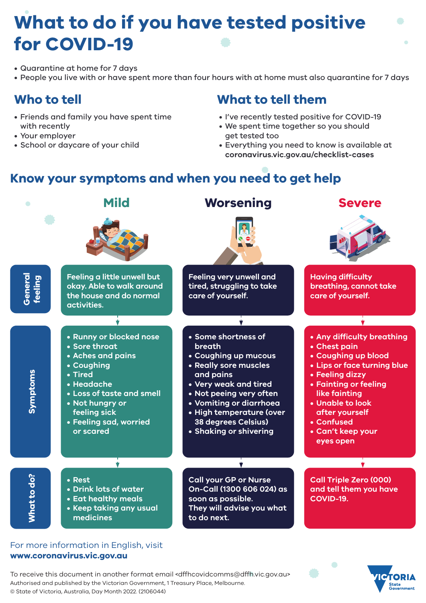# **What to do if you have tested positive for COVID-19**

- Quarantine at home for 7 days
- People you live with or have spent more than four hours with at home must also quarantine for 7 days

## **Who to tell**

- Friends and family you have spent time with recently
- Your employer
- School or daycare of your child

### **What to tell them**

- I've recently tested positive for COVID-19
- We spent time together so you should get tested too
- Everything you need to know is available at **[coronavirus.vic.gov.au/checklist-cases](http://coronavirus.vic.gov.au/checklist-cases)**

## **Know your symptoms and when you need to get help**



#### For more information in English, visit **[www.coronavirus.vic.gov.au](http://www.coronavirus.vic.gov.au/vaxproof)**

To receive this document in another format email <dffhcovidcomms@dffh.vic.gov.au> Authorised and published by the Victorian Government, 1 Treasury Place, Melbourne. © State of Victoria, Australia, Day Month 2022. (2106044)